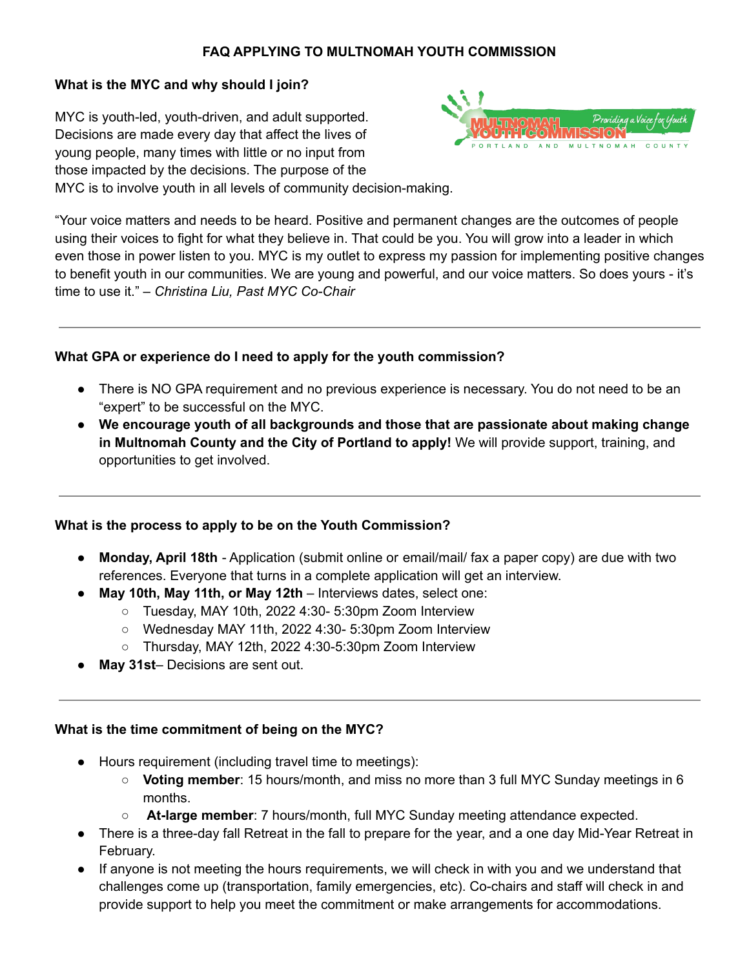# **FAQ APPLYING TO MULTNOMAH YOUTH COMMISSION**

# **What is the MYC and why should I join?**

MYC is youth-led, youth-driven, and adult supported. Decisions are made every day that affect the lives of young people, many times with little or no input from those impacted by the decisions. The purpose of the MYC is to involve youth in all levels of community decision-making.



"Your voice matters and needs to be heard. Positive and permanent changes are the outcomes of people using their voices to fight for what they believe in. That could be you. You will grow into a leader in which even those in power listen to you. MYC is my outlet to express my passion for implementing positive changes to benefit youth in our communities. We are young and powerful, and our voice matters. So does yours - it's time to use it." – *Christina Liu, Past MYC Co-Chair*

# **What GPA or experience do I need to apply for the youth commission?**

- There is NO GPA requirement and no previous experience is necessary. You do not need to be an "expert" to be successful on the MYC.
- **We encourage youth of all backgrounds and those that are passionate about making change in Multnomah County and the City of Portland to apply!** We will provide support, training, and opportunities to get involved.

### **What is the process to apply to be on the Youth Commission?**

- **Monday, April 18th** Application (submit online or email/mail/ fax a paper copy) are due with two references. Everyone that turns in a complete application will get an interview.
- **May 10th, May 11th, or May 12th** Interviews dates, select one:
	- $\circ$  Tuesday, MAY 10th, 2022 4:30- 5:30pm Zoom Interview
	- Wednesday MAY 11th, 2022 4:30- 5:30pm Zoom Interview
	- Thursday, MAY 12th, 2022 4:30-5:30pm Zoom Interview
- **May 31st** Decisions are sent out.

### **What is the time commitment of being on the MYC?**

- Hours requirement (including travel time to meetings):
	- **Voting member**: 15 hours/month, and miss no more than 3 full MYC Sunday meetings in 6 months.
	- **At-large member**: 7 hours/month, full MYC Sunday meeting attendance expected.
- There is a three-day fall Retreat in the fall to prepare for the year, and a one day Mid-Year Retreat in February.
- If anyone is not meeting the hours requirements, we will check in with you and we understand that challenges come up (transportation, family emergencies, etc). Co-chairs and staff will check in and provide support to help you meet the commitment or make arrangements for accommodations.